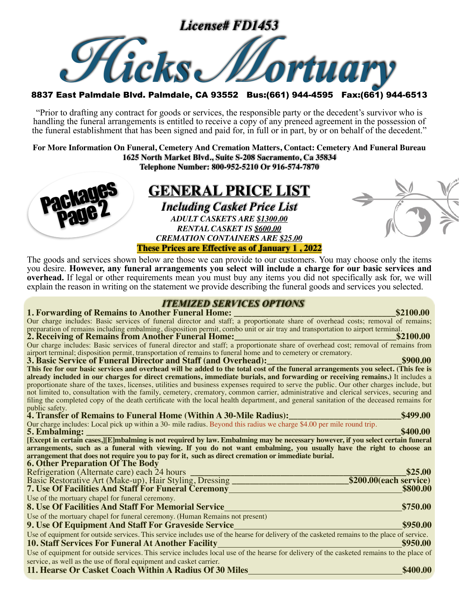

"Prior to drafting any contract for goods or services, the responsible party or the decedent's survivor who is handling the funeral arrangements is entitled to receive a copy of any preneed agreement in the possession of the funeral establishment that has been signed and paid for, in full or in part, by or on behalf of the decedent."

**For More Information On Funeral, Cemetery And Cremation Matters, Contact: Cemetery And Funeral Bureau 1625 North Market Blvd., Suite S-208 Sacramento, Ca 35834 Telephone Number: 800-952-5210 Or 916-574-7870**



The goods and services shown below are those we can provide to our customers. You may choose only the items you desire. **However, any funeral arrangements you select will include a charge for our basic services and overhead.** If legal or other requirements mean you must buy any items you did not specifically ask for, we will explain the reason in writing on the statement we provide describing the funeral goods and services you selected.

#### **1TEMIZED SERVICES OPTIONS**

| Our charge includes: Basic services of funeral director and staff; a proportionate share of overhead costs; removal of remains;                                                                                                                        |
|--------------------------------------------------------------------------------------------------------------------------------------------------------------------------------------------------------------------------------------------------------|
| preparation of remains including embalming, disposition permit, combo unit or air tray and transportation to airport terminal.                                                                                                                         |
| 2. Receiving of Remains from Another Funeral Home:______________________________<br>\$2100.00                                                                                                                                                          |
| Our charge includes: Basic services of funeral director and staff; a proportionate share of overhead cost; removal of remains from                                                                                                                     |
| airport terminal; disposition permit, transportation of remains to funeral home and to cemetery or crematory.                                                                                                                                          |
| \$900.00<br>3. Basic Service of Funeral Director and Staff (and Overhead):                                                                                                                                                                             |
| This fee for our basic services and overhead will be added to the total cost of the funeral arrangements you select. (This fee is                                                                                                                      |
| already included in our charges for direct cremations, immediate burials, and forwarding or receiving remains.) It includes a                                                                                                                          |
| proportionate share of the taxes, licenses, utilities and business expenses required to serve the public. Our other charges include, but                                                                                                               |
| not limited to, consultation with the family, cemetery, crematory, common carrier, administrative and clerical services, securing and                                                                                                                  |
| filing the completed copy of the death certificate with the local health department, and general sanitation of the deceased remains for                                                                                                                |
| public safety.                                                                                                                                                                                                                                         |
| 4. Transfer of Remains to Funeral Home (Within A 30-Mile Radius):<br>\$499.00                                                                                                                                                                          |
| Our charge includes: Local pick up within a 30- mile radius. Beyond this radius we charge \$4.00 per mile round trip.<br>\$400.00                                                                                                                      |
| <b>5. Embalming:</b>                                                                                                                                                                                                                                   |
| [Except in certain cases,][E]mbalming is not required by law. Embalming may be necessary however, if you select certain funeral<br>arrangements, such as a funeral with viewing. If you do not want embalming, you usually have the right to choose an |
| arrangement that does not require you to pay for it, such as direct cremation or immediate burial.                                                                                                                                                     |
| <b>6. Other Preparation Of The Body</b>                                                                                                                                                                                                                |
| \$25.00<br>Refrigeration (Alternate care) each 24 hours                                                                                                                                                                                                |
|                                                                                                                                                                                                                                                        |
|                                                                                                                                                                                                                                                        |
| $$200.00$ (each service)<br>Basic Restorative Art (Make-up), Hair Styling, Dressing ________________________                                                                                                                                           |
| \$800.00<br><b>7. Use Of Facilities And Staff For Funeral Ceremony_</b>                                                                                                                                                                                |
| Use of the mortuary chapel for funeral ceremony.                                                                                                                                                                                                       |
| 8. Use Of Facilities And Staff For Memorial Service<br>\$750.00                                                                                                                                                                                        |
| Use of the mortuary chapel for funeral ceremony. (Human Remains not present)                                                                                                                                                                           |
| \$950.00<br>9. Use Of Equipment And Staff For Graveside Service                                                                                                                                                                                        |
| Use of equipment for outside services. This service includes use of the hearse for delivery of the casketed remains to the place of service.                                                                                                           |
| <b>10. Staff Services For Funeral At Another Facility</b><br>\$950.00                                                                                                                                                                                  |
|                                                                                                                                                                                                                                                        |
| Use of equipment for outside services. This service includes local use of the hearse for delivery of the casketed remains to the place of<br>service, as well as the use of floral equipment and casket carrier.                                       |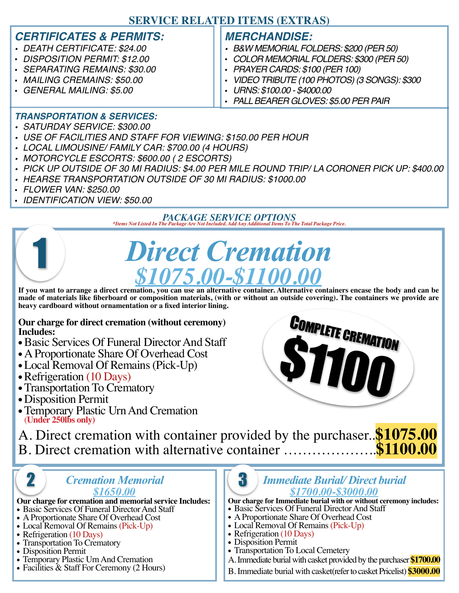### **SERVICE RELATED ITEMS (EXTRAS)**

#### *CERTIFICATES & PERMITS:*

- *• DEATH CERTIFICATE: \$24.00*
- *DISPOSITION PERMIT: \$12.00*
- *SEPARATING REMAINS: \$30.00*
- *MAILING CREMAINS: \$50.00*
- *GENERAL MAILING: \$5.00*

### *MERCHANDISE:*

- *• B&W MEMORIAL FOLDERS: \$200 (PER 50)*
- *COLOR MEMORIAL FOLDERS: \$300 (PER 50)*
- *PRAYER CARDS: \$100 (PER 100)*
- *VIDEO TRIBUTE (100 PHOTOS) (3 SONGS): \$300*
- *URNS: \$100.00 \$4000.00*
- *PALL BEARER GLOVES: \$5.00 PER PAIR*

#### *TRANSPORTATION & SERVICES:*

- *• SATURDAY SERVICE: \$300.00*
- *• USE OF FACILITIES AND STAFF FOR VIEWING: \$150.00 PER HOUR*
- *• LOCAL LIMOUSINE/ FAMILY CAR: \$700.00 (4 HOURS)*
- *• MOTORCYCLE ESCORTS: \$600.00 ( 2 ESCORTS)*
- *• PICK UP OUTSIDE OF 30 MI RADIUS: \$4.00 PER MILE ROUND TRIP/ LA CORONER PICK UP: \$400.00*
- *• HEARSE TRANSPORTATION OUTSIDE OF 30 MI RADIUS: \$1000.00*
- *FLOWER VAN: \$250.00*

1

• *IDENTIFICATION VIEW: \$50.00*

*PACKAGE SERVICE OPTIONS \*Items Not Listed In The Package Are Not Included. Add Any Additional Items To The Total Package Price.*

# *Direct Cremation*  $$1075.00 - $110$

**If you want to arrange a direct cremation, you can use an alternative container. Alternative containers encase the body and can be made of materials like fiberboard or composition materials, (with or without an outside covering). The containers we provide are heavy cardboard without ornamentation or a fixed interior lining.**

**Our charge for direct cremation (without ceremony) Includes:**

- •Basic Services Of Funeral Director And Staff
- A Proportionate Share Of Overhead Cost
- Local Removal Of Remains (Pick-Up)
- Refrigeration (10 Days)
- Transportation To Crematory
- Disposition Permit
- Temporary Plastic Urn And Cremation (**Under 250lbs only)**



A. Direct cremation with container provided by the purchaser..**\$1075.00** B. Direct cremation with alternative container ..................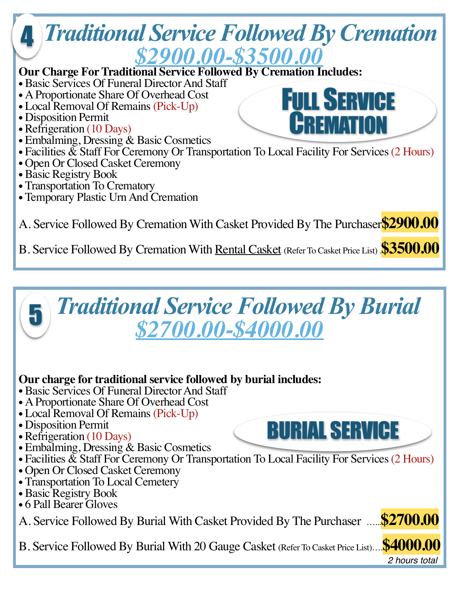

### **Our charge for traditional service followed by burial includes:**

- •Basic Services Of Funeral Director And Staff
- A Proportionate Share Of Overhead Cost
- Local Removal Of Remains (Pick-Up)
- Disposition Permit
- Refrigeration (10 Days)
- Embalming, Dressing & Basic Cosmetics
- Facilities & Staff For Ceremony Or Transportation To Local Facility For Services (2 Hours)
- Open Or Closed Casket Ceremony
- Transportation To Local Cemetery
- •Basic Registry Book
- 6 Pall Bearer Gloves

A. Service Followed By Burial With Casket Provided By The Purchaser …...**\$2700.00**

B. Service Followed By Burial With 20 Gauge Casket (Refer To Casket Price List)….**\$4000.00**

*2 hours total*

BURIAL SERVICE